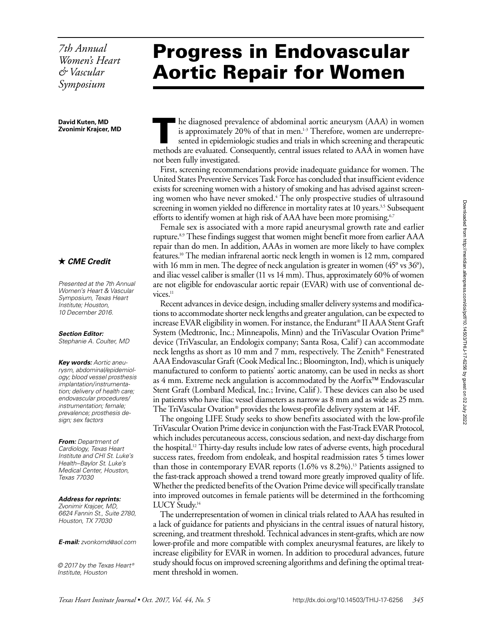*7th Annual Women's Heart & Vascular Symposium*

**David Kuten, MD Zvonimir Krajcer, MD**

### *CME Credit*

*Presented at the 7th Annual Women's Heart & Vascular Symposium, Texas Heart Institute; Houston, 10 December 2016.*

#### *Section Editor:*

*Stephanie A. Coulter, MD*

*Key words: Aortic aneurysm, abdominal/epidemiology; blood vessel prosthesis implantation/instrumentation; delivery of health care; endovascular procedures/ instrumentation; female; prevalence; prosthesis design; sex factors*

*From: Department of Cardiology, Texas Heart Institute and CHI St. Luke's Health–Baylor St. Luke's Medical Center, Houston, Texas 77030*

#### *Address for reprints:*

*Zvonimir Krajcer, MD, 6624 Fannin St., Suite 2780, Houston, TX 77030*

*E-mail: [zvonkomd@aol.com](mailto:zvonkomd@aol.com)*

*© 2017 by the Texas Heart ® Institute, Houston*

# Progress in Endovascular Aortic Repair for Women

he diagnosed prevalence of abdominal aortic aneurysm (AAA) in women is approximately 20% of that in men. $1-3$  Therefore, women are underrepresented in epidemiologic studies and trials in which screening and therapeutic methods are evaluated. Consequently, central issues related to AAA in women have not been fully investigated.

First, screening recommendations provide inadequate guidance for women. The United States Preventive Services Task Force has concluded that insufficient evidence exists for screening women with a history of smoking and has advised against screening women who have never smoked.<sup>4</sup> The only prospective studies of ultrasound screening in women yielded no difference in mortality rates at 10 years.<sup>3,5</sup> Subsequent efforts to identify women at high risk of AAA have been more promising.<sup>6,7</sup>

Female sex is associated with a more rapid aneurysmal growth rate and earlier rupture.8,9 These findings suggest that women might benefit more from earlier AAA repair than do men. In addition, AAAs in women are more likely to have complex features.10 The median infrarenal aortic neck length in women is 12 mm, compared with 16 mm in men. The degree of neck angulation is greater in women (45° vs 36°), and iliac vessel caliber is smaller (11 vs 14 mm). Thus, approximately 60% of women are not eligible for endovascular aortic repair (EVAR) with use of conventional de $vices.<sup>11</sup>$ 

Recent advances in device design, including smaller delivery systems and modifications to accommodate shorter neck lengths and greater angulation, can be expected to increase EVAR eligibility in women. For instance, the Endurant® II AAA Stent Graft System (Medtronic, Inc.; Minneapolis, Minn) and the TriVascular Ovation Prime® device (TriVascular, an Endologix company; Santa Rosa, Calif ) can accommodate neck lengths as short as 10 mm and 7 mm, respectively. The Zenith® Fenestrated AAA Endovascular Graft (Cook Medical Inc.; Bloomington, Ind), which is uniquely manufactured to conform to patients' aortic anatomy, can be used in necks as short as  $4 \text{ mm}$ . Extreme neck angulation is accommodated by the Aorfix<sup> $M$ </sup> Endovascular Stent Graft (Lombard Medical, Inc.; Irvine, Calif ). These devices can also be used in patients who have iliac vessel diameters as narrow as 8 mm and as wide as 25 mm. The TriVascular Ovation® provides the lowest-profile delivery system at 14F.

The ongoing LIFE Study seeks to show benefits associated with the low-profile TriVascular Ovation Prime device in conjunction with the Fast-Track EVAR Protocol, which includes percutaneous access, conscious sedation, and next-day discharge from the hospital.12 Thirty-day results include low rates of adverse events, high procedural success rates, freedom from endoleak, and hospital readmission rates 5 times lower than those in contemporary EVAR reports  $(1.6\% \text{ vs } 8.2\%)$ .<sup>13</sup> Patients assigned to the fast-track approach showed a trend toward more greatly improved quality of life. Whether the predicted benefits of the Ovation Prime device will specifically translate into improved outcomes in female patients will be determined in the forthcoming LUCY Study.<sup>14</sup>

The underrepresentation of women in clinical trials related to AAA has resulted in a lack of guidance for patients and physicians in the central issues of natural history, screening, and treatment threshold. Technical advances in stent-grafts, which are now lower-profile and more compatible with complex aneurysmal features, are likely to increase eligibility for EVAR in women. In addition to procedural advances, future study should focus on improved screening algorithms and defining the optimal treatment threshold in women.